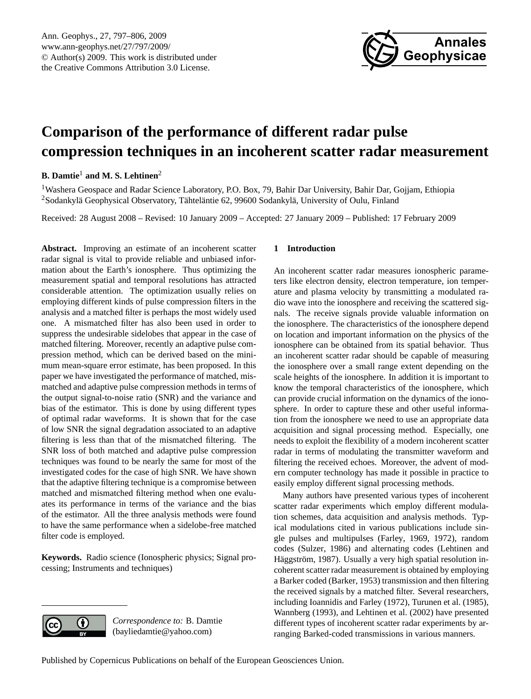

# <span id="page-0-0"></span>**Comparison of the performance of different radar pulse compression techniques in an incoherent scatter radar measurement**

# **B. Damtie**<sup>1</sup> **and M. S. Lehtinen**<sup>2</sup>

<sup>1</sup>Washera Geospace and Radar Science Laboratory, P.O. Box, 79, Bahir Dar University, Bahir Dar, Gojjam, Ethiopia <sup>2</sup>Sodankylä Geophysical Observatory, Tähteläntie 62, 99600 Sodankylä, University of Oulu, Finland

Received: 28 August 2008 – Revised: 10 January 2009 – Accepted: 27 January 2009 – Published: 17 February 2009

**Abstract.** Improving an estimate of an incoherent scatter radar signal is vital to provide reliable and unbiased information about the Earth's ionosphere. Thus optimizing the measurement spatial and temporal resolutions has attracted considerable attention. The optimization usually relies on employing different kinds of pulse compression filters in the analysis and a matched filter is perhaps the most widely used one. A mismatched filter has also been used in order to suppress the undesirable sidelobes that appear in the case of matched filtering. Moreover, recently an adaptive pulse compression method, which can be derived based on the minimum mean-square error estimate, has been proposed. In this paper we have investigated the performance of matched, mismatched and adaptive pulse compression methods in terms of the output signal-to-noise ratio (SNR) and the variance and bias of the estimator. This is done by using different types of optimal radar waveforms. It is shown that for the case of low SNR the signal degradation associated to an adaptive filtering is less than that of the mismatched filtering. The SNR loss of both matched and adaptive pulse compression techniques was found to be nearly the same for most of the investigated codes for the case of high SNR. We have shown that the adaptive filtering technique is a compromise between matched and mismatched filtering method when one evaluates its performance in terms of the variance and the bias of the estimator. All the three analysis methods were found to have the same performance when a sidelobe-free matched filter code is employed.

**Keywords.** Radio science (Ionospheric physics; Signal processing; Instruments and techniques)

#### **1 Introduction**

An incoherent scatter radar measures ionospheric parameters like electron density, electron temperature, ion temperature and plasma velocity by transmitting a modulated radio wave into the ionosphere and receiving the scattered signals. The receive signals provide valuable information on the ionosphere. The characteristics of the ionosphere depend on location and important information on the physics of the ionosphere can be obtained from its spatial behavior. Thus an incoherent scatter radar should be capable of measuring the ionosphere over a small range extent depending on the scale heights of the ionosphere. In addition it is important to know the temporal characteristics of the ionosphere, which can provide crucial information on the dynamics of the ionosphere. In order to capture these and other useful information from the ionosphere we need to use an appropriate data acquisition and signal processing method. Especially, one needs to exploit the flexibility of a modern incoherent scatter radar in terms of modulating the transmitter waveform and filtering the received echoes. Moreover, the advent of modern computer technology has made it possible in practice to easily employ different signal processing methods.

Many authors have presented various types of incoherent scatter radar experiments which employ different modulation schemes, data acquisition and analysis methods. Typical modulations cited in various publications include single pulses and multipulses [\(Farley,](#page-9-0) [1969,](#page-9-0) [1972\)](#page-9-1), random codes [\(Sulzer,](#page-9-2) [1986\)](#page-9-2) and alternating codes [\(Lehtinen and](#page-9-3) Häggström, [1987\)](#page-9-3). Usually a very high spatial resolution incoherent scatter radar measurement is obtained by employing a Barker coded [\(Barker,](#page-8-0) [1953\)](#page-8-0) transmission and then filtering the received signals by a matched filter. Several researchers, including [Ioannidis and Farley](#page-9-4) [\(1972\)](#page-9-4), [Turunen et al.](#page-9-5) [\(1985\)](#page-9-5), [Wannberg](#page-9-6) [\(1993\)](#page-9-6), and [Lehtinen et al.](#page-9-7) [\(2002\)](#page-9-7) have presented different types of incoherent scatter radar experiments by arranging Barked-coded transmissions in various manners.



*Correspondence to:* B. Damtie (bayliedamtie@yahoo.com)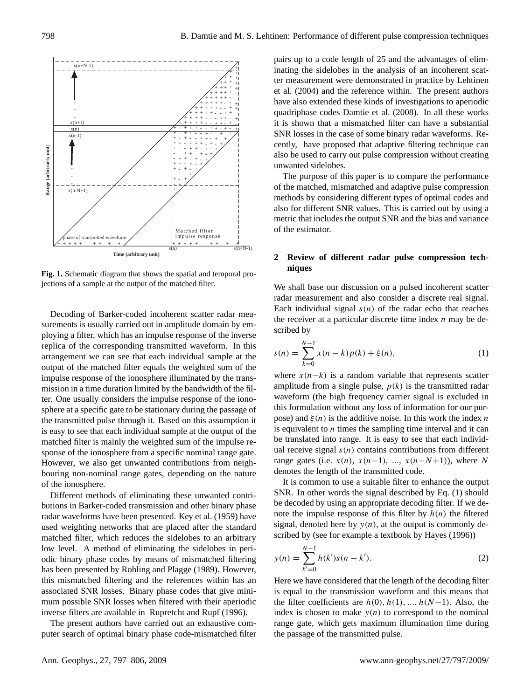

<span id="page-1-1"></span>**Fig. 1.** Schematic diagram that shows the spatial and temporal projections of a sample at the output of the matched filter.

Decoding of Barker-coded incoherent scatter radar measurements is usually carried out in amplitude domain by employing a filter, which has an impulse response of the inverse replica of the corresponding transmitted waveform. In this arrangement we can see that each individual sample at the output of the matched filter equals the weighted sum of the impulse response of the ionosphere illuminated by the transmission in a time duration limited by the bandwidth of the filter. One usually considers the impulse response of the ionosphere at a specific gate to be stationary during the passage of the transmitted pulse through it. Based on this assumption it is easy to see that each individual sample at the output of the matched filter is mainly the weighted sum of the impulse response of the ionosphere from a specific nominal range gate. However, we also get unwanted contributions from neighbouring non-nominal range gates, depending on the nature of the ionosphere.

Different methods of eliminating these unwanted contributions in Barker-coded transmission and other binary phase radar waveforms have been presented. [Key et al.](#page-9-8) [\(1959\)](#page-9-8) have used weighting networks that are placed after the standard matched filter, which reduces the sidelobes to an arbitrary low level. A method of eliminating the sidelobes in periodic binary phase codes by means of mismatched filtering has been presented by [Rohling and Plagge](#page-9-9) [\(1989\)](#page-9-9). However, this mismatched filtering and the references within has an associated SNR losses. Binary phase codes that give minimum possible SNR losses when filtered with their aperiodic inverse filters are available in [Rupretcht and Rupf](#page-9-10) [\(1996\)](#page-9-10).

The present authors have carried out an exhaustive computer search of optimal binary phase code-mismatched filter

pairs up to a code length of 25 and the advantages of eliminating the sidelobes in the analysis of an incoherent scatter measurement were demonstrated in practice by [Lehtinen](#page-9-11) [et al.](#page-9-11) [\(2004\)](#page-9-11) and the reference within. The present authors have also extended these kinds of investigations to aperiodic quadriphase codes [Damtie et al.](#page-9-12) [\(2008\)](#page-9-12). In all these works it is shown that a mismatched filter can have a substantial SNR losses in the case of some binary radar waveforms. Recently, have proposed that adaptive filtering technique can also be used to carry out pulse compression without creating unwanted sidelobes.

The purpose of this paper is to compare the performance of the matched, mismatched and adaptive pulse compression methods by considering different types of optimal codes and also for different SNR values. This is carried out by using a metric that includes the output SNR and the bias and variance of the estimator.

# **2 Review of different radar pulse compression techniques**

We shall base our discussion on a pulsed incoherent scatter radar measurement and also consider a discrete real signal. Each individual signal  $s(n)$  of the radar echo that reaches the receiver at a particular discrete time index  $n$  may be described by

<span id="page-1-0"></span>
$$
s(n) = \sum_{k=0}^{N-1} x(n-k)p(k) + \xi(n),
$$
 (1)

where  $x(n-k)$  is a random variable that represents scatter amplitude from a single pulse,  $p(k)$  is the transmitted radar waveform (the high frequency carrier signal is excluded in this formulation without any loss of information for our purpose) and  $\xi(n)$  is the additive noise. In this work the index n is equivalent to  $n$  times the sampling time interval and it can be translated into range. It is easy to see that each individual receive signal  $s(n)$  contains contributions from different range gates (i.e.  $x(n)$ ,  $x(n-1)$ , ...,  $x(n-N+1)$ ), where N denotes the length of the transmitted code.

It is common to use a suitable filter to enhance the output SNR. In other words the signal described by Eq. [\(1\)](#page-1-0) should be decoded by using an appropriate decoding filter. If we denote the impulse response of this filter by  $h(n)$  the filtered signal, denoted here by  $y(n)$ , at the output is commonly described by (see for example a textbook by [Hayes](#page-9-13) [\(1996\)](#page-9-13))

<span id="page-1-2"></span>
$$
y(n) = \sum_{k'=0}^{N-1} h(k')s(n-k').
$$
 (2)

Here we have considered that the length of the decoding filter is equal to the transmission waveform and this means that the filter coefficients are  $h(0), h(1), ..., h(N-1)$ . Also, the index is chosen to make  $y(n)$  to correspond to the nominal range gate, which gets maximum illumination time during the passage of the transmitted pulse.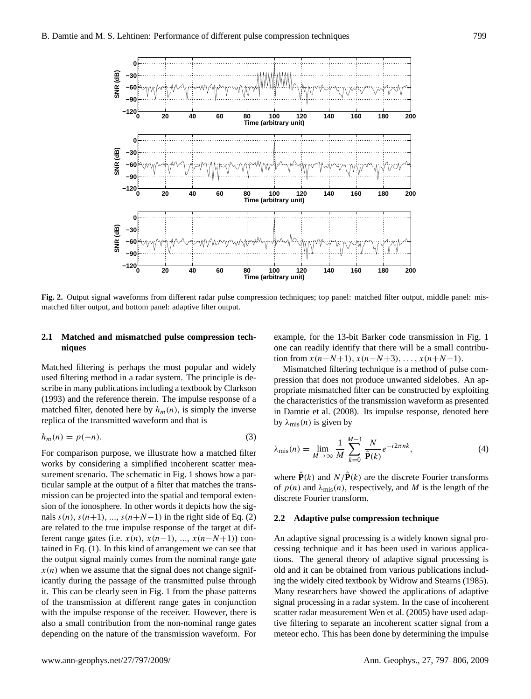

<span id="page-2-0"></span>Fig. 2. Output signal waveforms from different radar pulse compression techniques; top panel: matched filter output, middle panel: mismatched filter output, and bottom panel: adaptive filter output.

# **2.1 Matched and mismatched pulse compression techniques**

Matched filtering is perhaps the most popular and widely used filtering method in a radar system. The principle is describe in many publications including a textbook by [Clarkson](#page-8-1) [\(1993\)](#page-8-1) and the reference therein. The impulse response of a matched filter, denoted here by  $h_m(n)$ , is simply the inverse replica of the transmitted waveform and that is

$$
h_m(n) = p(-n). \tag{3}
$$

For comparison purpose, we illustrate how a matched filter works by considering a simplified incoherent scatter mea-surement scenario. The schematic in Fig. [1](#page-1-1) shows how a particular sample at the output of a filter that matches the transmission can be projected into the spatial and temporal extension of the ionosphere. In other words it depicts how the signals  $s(n)$ ,  $s(n+1)$ , ...,  $s(n+N-1)$  in the right side of Eq. [\(2\)](#page-1-2) are related to the true impulse response of the target at different range gates (i.e.  $x(n)$ ,  $x(n-1)$ , ...,  $x(n-N+1)$ ) contained in Eq. [\(1\)](#page-1-0). In this kind of arrangement we can see that the output signal mainly comes from the nominal range gate  $x(n)$  when we assume that the signal does not change significantly during the passage of the transmitted pulse through it. This can be clearly seen in Fig. [1](#page-1-1) from the phase patterns of the transmission at different range gates in conjunction with the impulse response of the receiver. However, there is also a small contribution from the non-nominal range gates depending on the nature of the transmission waveform. For example, for the 13-bit Barker code transmission in Fig. [1](#page-1-1) one can readily identify that there will be a small contribution from  $x(n-N+1)$ ,  $x(n-N+3)$ , ...,  $x(n+N-1)$ .

Mismatched filtering technique is a method of pulse compression that does not produce unwanted sidelobes. An appropriate mismatched filter can be constructed by exploiting the characteristics of the transmission waveform as presented in [Damtie et al.](#page-9-12) [\(2008\)](#page-9-12). Its impulse response, denoted here by  $\lambda_{\text{mis}}(n)$  is given by

$$
\lambda_{\text{mis}}(n) = \lim_{M \to \infty} \frac{1}{M} \sum_{k=0}^{M-1} \frac{N}{\hat{\mathbf{P}}(k)} e^{-i2\pi nk},\tag{4}
$$

where  $\hat{\mathbf{P}}(k)$  and  $N/\hat{\mathbf{P}}(k)$  are the discrete Fourier transforms of  $p(n)$  and  $\lambda_{\text{mis}}(n)$ , respectively, and M is the length of the discrete Fourier transform.

#### **2.2 Adaptive pulse compression technique**

An adaptive signal processing is a widely known signal processing technique and it has been used in various applications. The general theory of adaptive signal processing is old and it can be obtained from various publications including the widely cited textbook by [Widrow and Stearns](#page-9-14) [\(1985\)](#page-9-14). Many researchers have showed the applications of adaptive signal processing in a radar system. In the case of incoherent scatter radar measurement [Wen et al.](#page-9-15) [\(2005\)](#page-9-15) have used adaptive filtering to separate an incoherent scatter signal from a meteor echo. This has been done by determining the impulse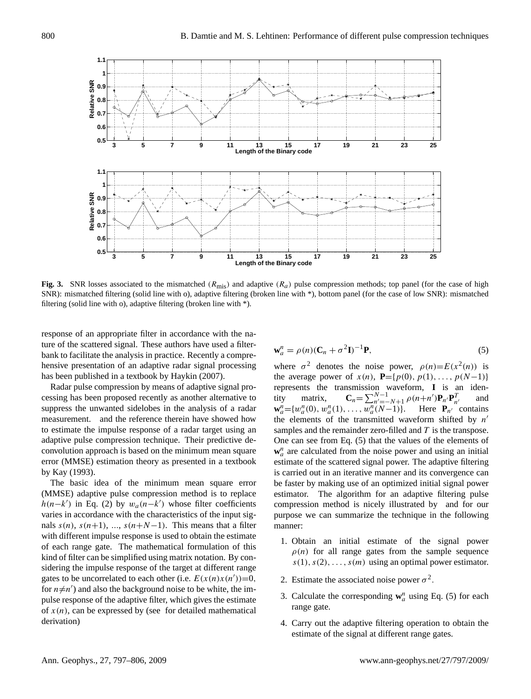

<span id="page-3-1"></span>**Fig. 3.** SNR losses associated to the mismatched ( $R_{\text{mis}}$ ) and adaptive ( $R_a$ ) pulse compression methods; top panel (for the case of high SNR): mismatched filtering (solid line with o), adaptive filtering (broken line with \*), bottom panel (for the case of low SNR): mismatched filtering (solid line with o), adaptive filtering (broken line with \*).

response of an appropriate filter in accordance with the nature of the scattered signal. These authors have used a filterbank to facilitate the analysis in practice. Recently a comprehensive presentation of an adaptive radar signal processing has been published in a textbook by [Haykin](#page-9-16) [\(2007\)](#page-9-16).

Radar pulse compression by means of adaptive signal processing has been proposed recently as another alternative to suppress the unwanted sidelobes in the analysis of a radar measurement. and the reference therein have showed how to estimate the impulse response of a radar target using an adaptive pulse compression technique. Their predictive deconvolution approach is based on the minimum mean square error (MMSE) estimation theory as presented in a textbook by [Kay](#page-9-17) [\(1993\)](#page-9-17).

The basic idea of the minimum mean square error (MMSE) adaptive pulse compression method is to replace  $h(n-k')$  in Eq. [\(2\)](#page-1-2) by  $w_a(n-k')$  whose filter coefficients varies in accordance with the characteristics of the input signals  $s(n)$ ,  $s(n+1)$ , ...,  $s(n+N-1)$ . This means that a filter with different impulse response is used to obtain the estimate of each range gate. The mathematical formulation of this kind of filter can be simplified using matrix notation. By considering the impulse response of the target at different range gates to be uncorrelated to each other (i.e.  $E(x(n)x(n'))=0$ , for  $n \neq n'$ ) and also the background noise to be white, the impulse response of the adaptive filter, which gives the estimate of  $x(n)$ , can be expressed by (see for detailed mathematical derivation)

<span id="page-3-0"></span>
$$
\mathbf{w}_a^n = \rho(n)(\mathbf{C}_n + \sigma^2 \mathbf{I})^{-1} \mathbf{P},\tag{5}
$$

where  $\sigma^2$  denotes the noise power,  $\rho(n)=E(x^2(n))$  is the average power of  $x(n)$ ,  $P=[p(0), p(1), ..., p(N-1)]$ represents the transmission waveform, **I** is an identity matrix,  $\mathbf{C}_n = \sum_{n'= -N+1}^{N-1} \rho(n+n') \mathbf{P}_{n'} \mathbf{P}_{n'}^T$  and  $\mathbf{w}_a^n = \{w_a^n(0), w_a^n(1), \dots, w_a^n(N-1)\}.$  Here  $\mathbf{P}_{n'}$  contains the elements of the transmitted waveform shifted by  $n'$ samples and the remainder zero-filled and  $T$  is the transpose. One can see from Eq. [\(5\)](#page-3-0) that the values of the elements of  $w_a^n$  are calculated from the noise power and using an initial estimate of the scattered signal power. The adaptive filtering is carried out in an iterative manner and its convergence can be faster by making use of an optimized initial signal power estimator. The algorithm for an adaptive filtering pulse compression method is nicely illustrated by and for our purpose we can summarize the technique in the following manner:

- 1. Obtain an initial estimate of the signal power  $\rho(n)$  for all range gates from the sample sequence  $s(1), s(2), \ldots, s(m)$  using an optimal power estimator.
- 2. Estimate the associated noise power  $\sigma^2$ .
- 3. Calculate the corresponding  $w_a^n$  using Eq. [\(5\)](#page-3-0) for each range gate.
- 4. Carry out the adaptive filtering operation to obtain the estimate of the signal at different range gates.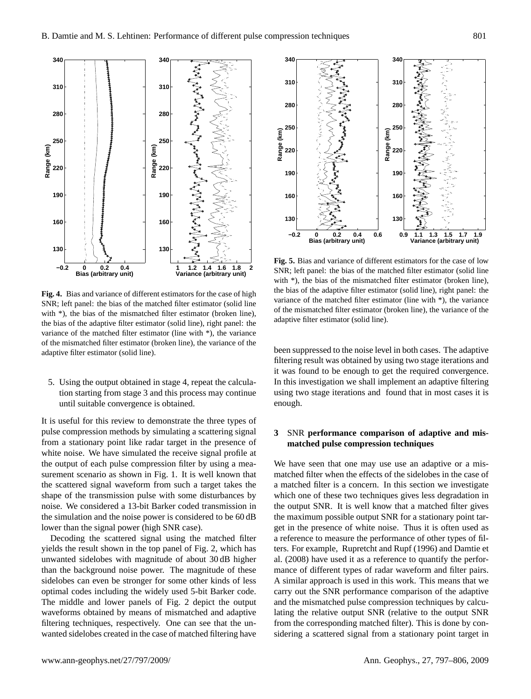

<span id="page-4-0"></span>**Fig. 4.** Bias and variance of different estimators for the case of high SNR; left panel: the bias of the matched filter estimator (solid line with \*), the bias of the mismatched filter estimator (broken line), the bias of the adaptive filter estimator (solid line), right panel: the variance of the matched filter estimator (line with \*), the variance of the mismatched filter estimator (broken line), the variance of the adaptive filter estimator (solid line).

5. Using the output obtained in stage 4, repeat the calculation starting from stage 3 and this process may continue until suitable convergence is obtained.

It is useful for this review to demonstrate the three types of pulse compression methods by simulating a scattering signal from a stationary point like radar target in the presence of white noise. We have simulated the receive signal profile at the output of each pulse compression filter by using a measurement scenario as shown in Fig. [1.](#page-1-1) It is well known that the scattered signal waveform from such a target takes the shape of the transmission pulse with some disturbances by noise. We considered a 13-bit Barker coded transmission in the simulation and the noise power is considered to be 60 dB lower than the signal power (high SNR case).

Decoding the scattered signal using the matched filter yields the result shown in the top panel of Fig. [2,](#page-2-0) which has unwanted sidelobes with magnitude of about 30 dB higher than the background noise power. The magnitude of these sidelobes can even be stronger for some other kinds of less optimal codes including the widely used 5-bit Barker code. The middle and lower panels of Fig. [2](#page-2-0) depict the output waveforms obtained by means of mismatched and adaptive filtering techniques, respectively. One can see that the unwanted sidelobes created in the case of matched filtering have



<span id="page-4-1"></span>**Fig. 5.** Bias and variance of different estimators for the case of low SNR; left panel: the bias of the matched filter estimator (solid line with  $*$ ), the bias of the mismatched filter estimator (broken line), the bias of the adaptive filter estimator (solid line), right panel: the variance of the matched filter estimator (line with \*), the variance of the mismatched filter estimator (broken line), the variance of the adaptive filter estimator (solid line).

been suppressed to the noise level in both cases. The adaptive filtering result was obtained by using two stage iterations and it was found to be enough to get the required convergence. In this investigation we shall implement an adaptive filtering using two stage iterations and found that in most cases it is enough.

# **3** SNR **performance comparison of adaptive and mismatched pulse compression techniques**

We have seen that one may use use an adaptive or a mismatched filter when the effects of the sidelobes in the case of a matched filter is a concern. In this section we investigate which one of these two techniques gives less degradation in the output SNR. It is well know that a matched filter gives the maximum possible output SNR for a stationary point target in the presence of white noise. Thus it is often used as a reference to measure the performance of other types of filters. For example, [Rupretcht and Rupf](#page-9-10) [\(1996\)](#page-9-10) and [Damtie et](#page-9-12) [al.](#page-9-12) [\(2008\)](#page-9-12) have used it as a reference to quantify the performance of different types of radar waveform and filter pairs. A similar approach is used in this work. This means that we carry out the SNR performance comparison of the adaptive and the mismatched pulse compression techniques by calculating the relative output SNR (relative to the output SNR from the corresponding matched filter). This is done by considering a scattered signal from a stationary point target in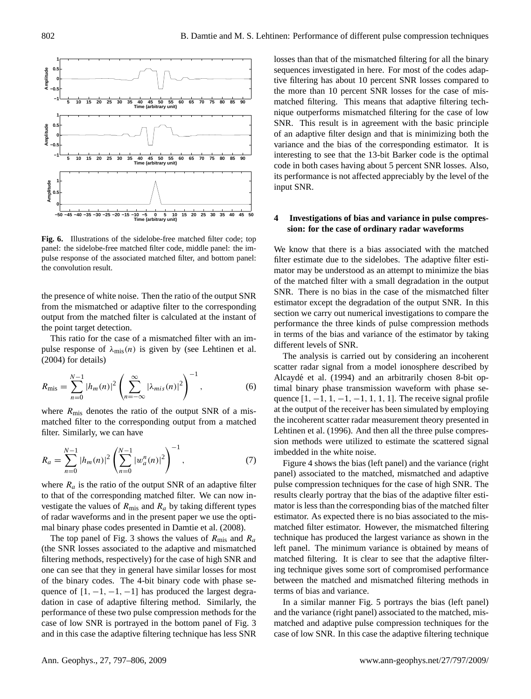

<span id="page-5-0"></span>**Fig. 6.** Illustrations of the sidelobe-free matched filter code; top panel: the sidelobe-free matched filter code, middle panel: the impulse response of the associated matched filter, and bottom panel: the convolution result.

the presence of white noise. Then the ratio of the output SNR from the mismatched or adaptive filter to the corresponding output from the matched filter is calculated at the instant of the point target detection.

This ratio for the case of a mismatched filter with an impulse response of  $\lambda_{\text{mis}}(n)$  is given by (see [Lehtinen et al.](#page-9-11) [\(2004\)](#page-9-11) for details)

$$
R_{\text{mis}} = \sum_{n=0}^{N-1} |h_m(n)|^2 \left( \sum_{n=-\infty}^{\infty} |\lambda_{mis}(n)|^2 \right)^{-1}, \tag{6}
$$

where  $R_{\text{mis}}$  denotes the ratio of the output SNR of a mismatched filter to the corresponding output from a matched filter. Similarly, we can have

$$
R_a = \sum_{n=0}^{N-1} |h_m(n)|^2 \left( \sum_{n=0}^{N-1} |w_a^n(n)|^2 \right)^{-1}, \tag{7}
$$

where  $R_a$  is the ratio of the output SNR of an adaptive filter to that of the corresponding matched filter. We can now investigate the values of  $R_{\text{mis}}$  and  $R_a$  by taking different types of radar waveforms and in the present paper we use the optimal binary phase codes presented in [Damtie et al.](#page-9-12) [\(2008\)](#page-9-12).

The top panel of Fig. [3](#page-3-1) shows the values of  $R_{\text{mis}}$  and  $R_a$ (the SNR losses associated to the adaptive and mismatched filtering methods, respectively) for the case of high SNR and one can see that they in general have similar losses for most of the binary codes. The 4-bit binary code with phase sequence of  $[1, -1, -1, -1]$  has produced the largest degradation in case of adaptive filtering method. Similarly, the performance of these two pulse compression methods for the case of low SNR is portrayed in the bottom panel of Fig. [3](#page-3-1) and in this case the adaptive filtering technique has less SNR losses than that of the mismatched filtering for all the binary sequences investigated in here. For most of the codes adaptive filtering has about 10 percent SNR losses compared to the more than 10 percent SNR losses for the case of mismatched filtering. This means that adaptive filtering technique outperforms mismatched filtering for the case of low SNR. This result is in agreement with the basic principle of an adaptive filter design and that is minimizing both the variance and the bias of the corresponding estimator. It is interesting to see that the 13-bit Barker code is the optimal code in both cases having about 5 percent SNR losses. Also, its performance is not affected appreciably by the level of the input SNR.

#### <span id="page-5-1"></span>**4 Investigations of bias and variance in pulse compression: for the case of ordinary radar waveforms**

We know that there is a bias associated with the matched filter estimate due to the sidelobes. The adaptive filter estimator may be understood as an attempt to minimize the bias of the matched filter with a small degradation in the output SNR. There is no bias in the case of the mismatched filter estimator except the degradation of the output SNR. In this section we carry out numerical investigations to compare the performance the three kinds of pulse compression methods in terms of the bias and variance of the estimator by taking different levels of SNR.

The analysis is carried out by considering an incoherent scatter radar signal from a model ionosphere described by Alcaydé et al. [\(1994\)](#page-8-2) and an arbitrarily chosen 8-bit optimal binary phase transmission waveform with phase sequence  $[1, -1, 1, -1, -1, 1, 1, 1]$ . The receive signal profile at the output of the receiver has been simulated by employing the incoherent scatter radar measurement theory presented in [Lehtinen et al.](#page-9-18) [\(1996\)](#page-9-18). And then all the three pulse compression methods were utilized to estimate the scattered signal imbedded in the white noise.

Figure [4](#page-4-0) shows the bias (left panel) and the variance (right panel) associated to the matched, mismatched and adaptive pulse compression techniques for the case of high SNR. The results clearly portray that the bias of the adaptive filter estimator is less than the corresponding bias of the matched filter estimator. As expected there is no bias associated to the mismatched filter estimator. However, the mismatched filtering technique has produced the largest variance as shown in the left panel. The minimum variance is obtained by means of matched filtering. It is clear to see that the adaptive filtering technique gives some sort of compromised performance between the matched and mismatched filtering methods in terms of bias and variance.

In a similar manner Fig. [5](#page-4-1) portrays the bias (left panel) and the variance (right panel) associated to the matched, mismatched and adaptive pulse compression techniques for the case of low SNR. In this case the adaptive filtering technique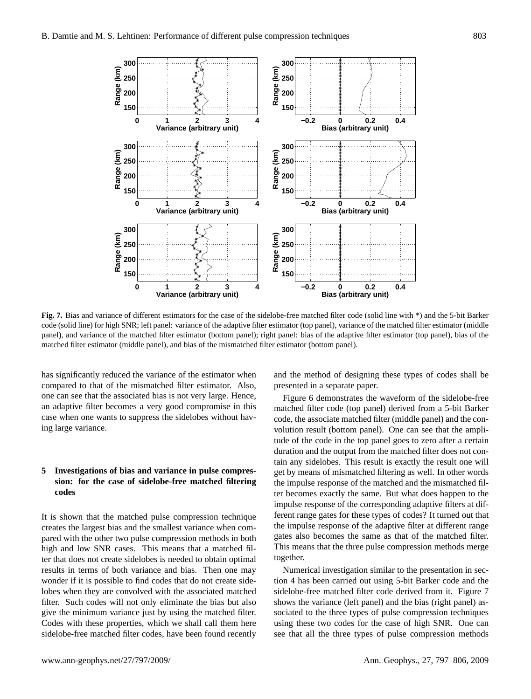

<span id="page-6-0"></span>**Fig. 7.** Bias and variance of different estimators for the case of the sidelobe-free matched filter code (solid line with \*) and the 5-bit Barker code (solid line) for high SNR; left panel: variance of the adaptive filter estimator (top panel), variance of the matched filter estimator (middle panel), and variance of the matched filter estimator (bottom panel); right panel: bias of the adaptive filter estimator (top panel), bias of the matched filter estimator (middle panel), and bias of the mismatched filter estimator (bottom panel).

has significantly reduced the variance of the estimator when compared to that of the mismatched filter estimator. Also, one can see that the associated bias is not very large. Hence, an adaptive filter becomes a very good compromise in this case when one wants to suppress the sidelobes without having large variance.

# **5 Investigations of bias and variance in pulse compression: for the case of sidelobe-free matched filtering codes**

It is shown that the matched pulse compression technique creates the largest bias and the smallest variance when compared with the other two pulse compression methods in both high and low SNR cases. This means that a matched filter that does not create sidelobes is needed to obtain optimal results in terms of both variance and bias. Then one may wonder if it is possible to find codes that do not create sidelobes when they are convolved with the associated matched filter. Such codes will not only eliminate the bias but also give the minimum variance just by using the matched filter. Codes with these properties, which we shall call them here sidelobe-free matched filter codes, have been found recently

and the method of designing these types of codes shall be presented in a separate paper.

Figure [6](#page-5-0) demonstrates the waveform of the sidelobe-free matched filter code (top panel) derived from a 5-bit Barker code, the associate matched filter (middle panel) and the convolution result (bottom panel). One can see that the amplitude of the code in the top panel goes to zero after a certain duration and the output from the matched filter does not contain any sidelobes. This result is exactly the result one will get by means of mismatched filtering as well. In other words the impulse response of the matched and the mismatched filter becomes exactly the same. But what does happen to the impulse response of the corresponding adaptive filters at different range gates for these types of codes? It turned out that the impulse response of the adaptive filter at different range gates also becomes the same as that of the matched filter. This means that the three pulse compression methods merge together.

Numerical investigation similar to the presentation in section [4](#page-5-1) has been carried out using 5-bit Barker code and the sidelobe-free matched filter code derived from it. Figure [7](#page-6-0) shows the variance (left panel) and the bias (right panel) associated to the three types of pulse compression techniques using these two codes for the case of high SNR. One can see that all the three types of pulse compression methods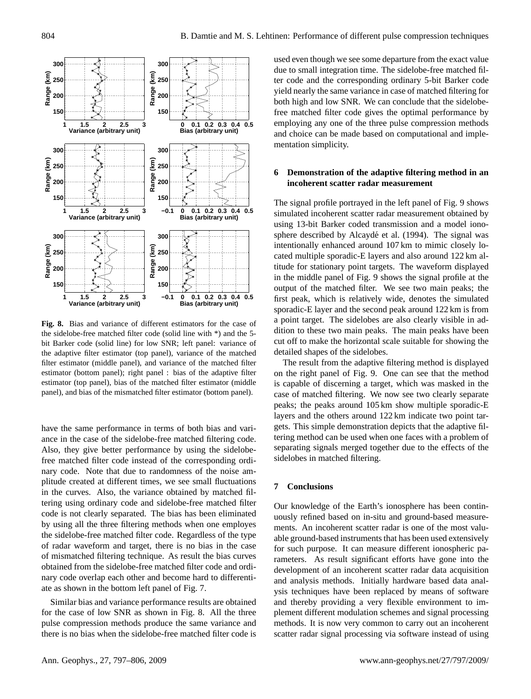

<span id="page-7-0"></span>**Fig. 8.** Bias and variance of different estimators for the case of the sidelobe-free matched filter code (solid line with \*) and the 5 bit Barker code (solid line) for low SNR; left panel: variance of the adaptive filter estimator (top panel), variance of the matched filter estimator (middle panel), and variance of the matched filter estimator (bottom panel); right panel : bias of the adaptive filter estimator (top panel), bias of the matched filter estimator (middle panel), and bias of the mismatched filter estimator (bottom panel).

have the same performance in terms of both bias and variance in the case of the sidelobe-free matched filtering code. Also, they give better performance by using the sidelobefree matched filter code instead of the corresponding ordinary code. Note that due to randomness of the noise amplitude created at different times, we see small fluctuations in the curves. Also, the variance obtained by matched filtering using ordinary code and sidelobe-free matched filter code is not clearly separated. The bias has been eliminated by using all the three filtering methods when one employes the sidelobe-free matched filter code. Regardless of the type of radar waveform and target, there is no bias in the case of mismatched filtering technique. As result the bias curves obtained from the sidelobe-free matched filter code and ordinary code overlap each other and become hard to differentiate as shown in the bottom left panel of Fig. [7.](#page-6-0)

Similar bias and variance performance results are obtained for the case of low SNR as shown in Fig. [8.](#page-7-0) All the three pulse compression methods produce the same variance and there is no bias when the sidelobe-free matched filter code is used even though we see some departure from the exact value due to small integration time. The sidelobe-free matched filter code and the corresponding ordinary 5-bit Barker code yield nearly the same variance in case of matched filtering for both high and low SNR. We can conclude that the sidelobefree matched filter code gives the optimal performance by employing any one of the three pulse compression methods and choice can be made based on computational and implementation simplicity.

# **6 Demonstration of the adaptive filtering method in an incoherent scatter radar measurement**

The signal profile portrayed in the left panel of Fig. [9](#page-8-3) shows simulated incoherent scatter radar measurement obtained by using 13-bit Barker coded transmission and a model iono-sphere described by Alcaydé et al. [\(1994\)](#page-8-2). The signal was intentionally enhanced around 107 km to mimic closely located multiple sporadic-E layers and also around 122 km altitude for stationary point targets. The waveform displayed in the middle panel of Fig. [9](#page-8-3) shows the signal profile at the output of the matched filter. We see two main peaks; the first peak, which is relatively wide, denotes the simulated sporadic-E layer and the second peak around 122 km is from a point target. The sidelobes are also clearly visible in addition to these two main peaks. The main peaks have been cut off to make the horizontal scale suitable for showing the detailed shapes of the sidelobes.

The result from the adaptive filtering method is displayed on the right panel of Fig. [9.](#page-8-3) One can see that the method is capable of discerning a target, which was masked in the case of matched filtering. We now see two clearly separate peaks; the peaks around 105 km show multiple sporadic-E layers and the others around 122 km indicate two point targets. This simple demonstration depicts that the adaptive filtering method can be used when one faces with a problem of separating signals merged together due to the effects of the sidelobes in matched filtering.

#### **7 Conclusions**

Our knowledge of the Earth's ionosphere has been continuously refined based on in-situ and ground-based measurements. An incoherent scatter radar is one of the most valuable ground-based instruments that has been used extensively for such purpose. It can measure different ionospheric parameters. As result significant efforts have gone into the development of an incoherent scatter radar data acquisition and analysis methods. Initially hardware based data analysis techniques have been replaced by means of software and thereby providing a very flexible environment to implement different modulation schemes and signal processing methods. It is now very common to carry out an incoherent scatter radar signal processing via software instead of using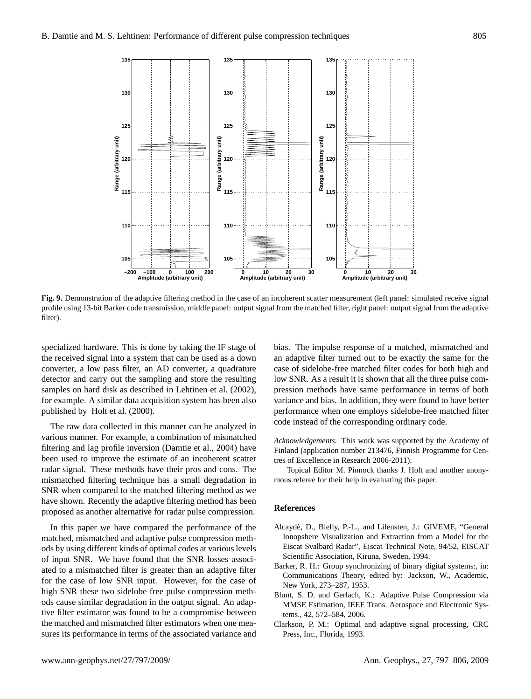

<span id="page-8-3"></span>**Fig. 9.** Demonstration of the adaptive filtering method in the case of an incoherent scatter measurement (left panel: simulated receive signal profile using 13-bit Barker code transmission, middle panel: output signal from the matched filter, right panel: output signal from the adaptive filter).

specialized hardware. This is done by taking the IF stage of the received signal into a system that can be used as a down converter, a low pass filter, an AD converter, a quadrature detector and carry out the sampling and store the resulting samples on hard disk as described in [Lehtinen et al.](#page-9-7) [\(2002\)](#page-9-7), for example. A similar data acquisition system has been also published by [Holt et al.](#page-9-19) [\(2000\)](#page-9-19).

The raw data collected in this manner can be analyzed in various manner. For example, a combination of mismatched filtering and lag profile inversion [\(Damtie et al.,](#page-9-20) [2004\)](#page-9-20) have been used to improve the estimate of an incoherent scatter radar signal. These methods have their pros and cons. The mismatched filtering technique has a small degradation in SNR when compared to the matched filtering method as we have shown. Recently the adaptive filtering method has been proposed as another alternative for radar pulse compression.

In this paper we have compared the performance of the matched, mismatched and adaptive pulse compression methods by using different kinds of optimal codes at various levels of input SNR. We have found that the SNR losses associated to a mismatched filter is greater than an adaptive filter for the case of low SNR input. However, for the case of high SNR these two sidelobe free pulse compression methods cause similar degradation in the output signal. An adaptive filter estimator was found to be a compromise between the matched and mismatched filter estimators when one measures its performance in terms of the associated variance and

bias. The impulse response of a matched, mismatched and an adaptive filter turned out to be exactly the same for the case of sidelobe-free matched filter codes for both high and low SNR. As a result it is shown that all the three pulse compression methods have same performance in terms of both variance and bias. In addition, they were found to have better performance when one employs sidelobe-free matched filter code instead of the corresponding ordinary code.

*Acknowledgements.* This work was supported by the Academy of Finland (application number 213476, Finnish Programme for Centres of Excellence in Research 2006-2011).

Topical Editor M. Pinnock thanks J. Holt and another anonymous referee for their help in evaluating this paper.

#### **References**

- <span id="page-8-2"></span>Alcayde, D., Blelly, P.-L., and Lilensten, J.: GIVEME, "General ´ Ionopshere Visualization and Extraction from a Model for the Eiscat Svalbard Radar", Eiscat Technical Note, 94/52, EISCAT Scientific Association, Kiruna, Sweden, 1994.
- <span id="page-8-0"></span>Barker, R. H.: Group synchronizing of binary digital systems:, in: Communications Theory, edited by: Jackson, W., Academic, New York, 273–287, 1953.
- Blunt, S. D. and Gerlach, K.: Adaptive Pulse Compression via MMSE Estimation, IEEE Trans. Aerospace and Electronic Systems., 42, 572–584, 2006.
- <span id="page-8-1"></span>Clarkson, P. M.: Optimal and adaptive signal processing, CRC Press, Inc., Florida, 1993.